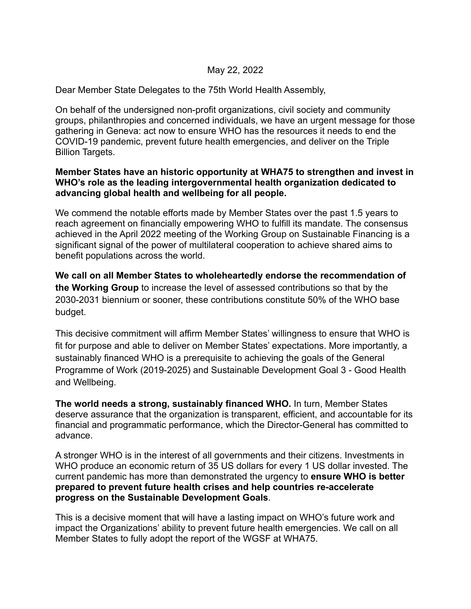## May 22, 2022

Dear Member State Delegates to the 75th World Health Assembly,

On behalf of the undersigned non-profit organizations, civil society and community groups, philanthropies and concerned individuals, we have an urgent message for those gathering in Geneva: act now to ensure WHO has the resources it needs to end the COVID-19 pandemic, prevent future health emergencies, and deliver on the Triple Billion Targets.

## **Member States have an historic opportunity at WHA75 to strengthen and invest in WHO's role as the leading intergovernmental health organization dedicated to advancing global health and wellbeing for all people.**

We commend the notable efforts made by Member States over the past 1.5 years to reach agreement on financially empowering WHO to fulfill its mandate. The consensus achieved in the April 2022 meeting of the Working Group on Sustainable Financing is a significant signal of the power of multilateral cooperation to achieve shared aims to benefit populations across the world.

**We call on all Member States to wholeheartedly endorse the recommendation of the Working Group** to increase the level of assessed contributions so that by the 2030-2031 biennium or sooner, these contributions constitute 50% of the WHO base budget.

This decisive commitment will affirm Member States' willingness to ensure that WHO is fit for purpose and able to deliver on Member States' expectations. More importantly, a sustainably financed WHO is a prerequisite to achieving the goals of the General Programme of Work (2019-2025) and Sustainable Development Goal 3 - Good Health and Wellbeing.

**The world needs a strong, sustainably financed WHO.** In turn, Member States deserve assurance that the organization is transparent, efficient, and accountable for its financial and programmatic performance, which the Director-General has committed to advance.

A stronger WHO is in the interest of all governments and their citizens. Investments in WHO produce an economic return of 35 US dollars for every 1 US dollar invested. The current pandemic has more than demonstrated the urgency to **ensure WHO is better prepared to prevent future health crises and help countries re-accelerate progress on the Sustainable Development Goals**.

This is a decisive moment that will have a lasting impact on WHO's future work and impact the Organizations' ability to prevent future health emergencies. We call on all Member States to fully adopt the report of the WGSF at WHA75.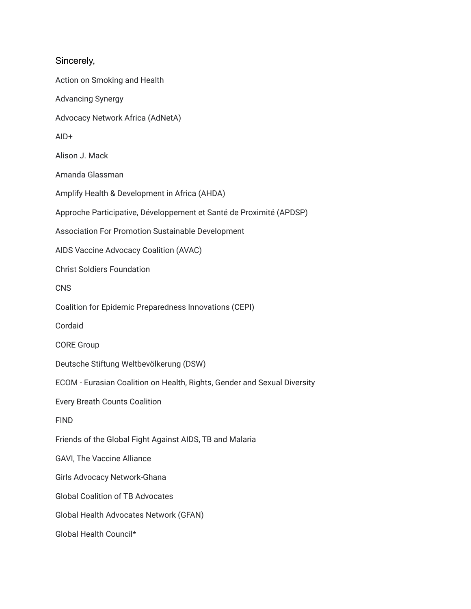Sincerely, Action on Smoking and Health Advancing Synergy Advocacy Network Africa (AdNetA) AID+ Alison J. Mack Amanda Glassman Amplify Health & Development in Africa (AHDA) Approche Participative, Développement et Santé de Proximité (APDSP) Association For Promotion Sustainable Development AIDS Vaccine Advocacy Coalition (AVAC) Christ Soldiers Foundation **CNS** Coalition for Epidemic Preparedness Innovations (CEPI) Cordaid CORE Group Deutsche Stiftung Weltbevölkerung (DSW) ECOM - Eurasian Coalition on Health, Rights, Gender and Sexual Diversity Every Breath Counts Coalition FIND Friends of the Global Fight Against AIDS, TB and Malaria GAVI, The Vaccine Alliance Girls Advocacy Network-Ghana Global Coalition of TB Advocates Global Health Advocates Network (GFAN) Global Health Council\*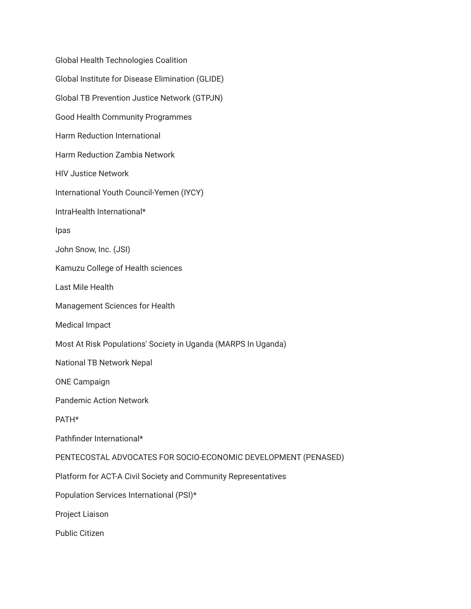Global Health Technologies Coalition Global Institute for Disease Elimination (GLIDE) Global TB Prevention Justice Network (GTPJN) Good Health Community Programmes Harm Reduction International Harm Reduction Zambia Network HIV Justice Network International Youth Council-Yemen (IYCY) IntraHealth International\* Ipas John Snow, Inc. (JSI) Kamuzu College of Health sciences Last Mile Health Management Sciences for Health Medical Impact Most At Risk Populations' Society in Uganda (MARPS In Uganda) National TB Network Nepal ONE Campaign Pandemic Action Network PATH\* Pathfinder International\* PENTECOSTAL ADVOCATES FOR SOCIO-ECONOMIC DEVELOPMENT (PENASED) Platform for ACT-A Civil Society and Community Representatives Population Services International (PSI)\* Project Liaison Public Citizen